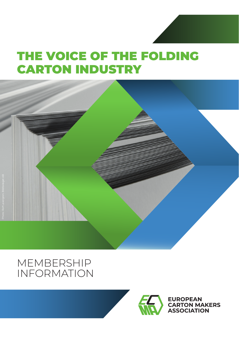# THE VOICE OF THE FOLDING CARTON INDUSTRY



## MEMBERSHIP INFORMATION



**EUROPEAN CARTON MAKERS ASSOCIATION**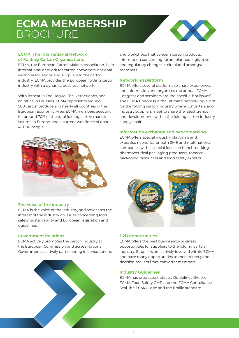## **ECMA MEMBERSHIP** BROCHURE



ECMA, the European Carton Makers Association, is an international network for carton converters, national carton associations and suppliers to the carton industry. ECMA provides the European folding carton industry with a dynamic business network.

With its seat in The Hague, The Netherlands, and an office in Brussels, ECMA represents around 500 carton producers in nearly all countries in the European Economic Area. ECMA members account for around 70% of the total folding carton market volume in Europe, and a current workforce of about 45,000 people.



## **The voice of the industry**

ECMA is the voice of the industry, and advocates the interest of the industry on issues concerning food safety, sustainability and European legislation and guidelines.

## **Government Relations**

ECMA actively promotes the carton industry at the European Commission and across National Governments, actively participating in consultations



and workshops that concern carton products. Information concerning future planned legislative and regulatory changes is circulated amongst members.

### **Networking platform**

ECMA offers several platforms to share experiences and information and organises the annual ECMA Congress and seminars around specific 'hot issues'. The ECMA Congress is the ultimate networking event for the folding carton industry where converters and industry suppliers meet to share the latest trends and developments within the folding carton industry supply chain.

## **Information exchange and benchmarking**

ECMA offers special industry platforms and expertise networks for both SME and multinational companies with a special focus on benchmarking, pharmaceutical packaging producers, tobacco packaging producers and food safety experts.



## **B2B opportunities**

ECMA offers the best business-to-business opportunities for suppliers to the folding carton industry. Suppliers are actively involved within ECMA and have many opportunities to meet directly the decision makers from converter members.

## **Industry Guidelines**

ECMA has produced Industry Guidelines like the ECMA Food Safety GMP and the ECMA Compliance Seal, the ECMA Code and the Braille standard.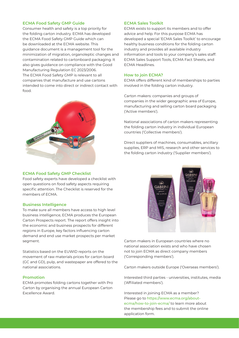#### **ECMA Food Safety GMP Guide**

Consumer health and safety is a top priority for the folding carton industry. ECMA has developed the ECMA Food Safety GMP Guide which can be downloaded at the ECMA website. This guidance document is a management tool for the minimization of migration, organoleptic changes and contamination related to cartonboard packaging. It also gives guidance on compliance with the Good Manufacturing Regulation EC 2023/2006. The ECMA Food Safety GMP is relevant to all companies that manufacture and use cartons intended to come into direct or indirect contact with food.



#### **ECMA Food Safety GMP Checklist**

Food safety experts have developed a checklist with open questions on food safety aspects requiring specific attention. The Checklist is reserved for the members of ECMA.

#### **Business Intelligence**

To make sure all members have access to high level business intelligence, ECMA produces the European Carton Prospects report. The report offers insight into the economic and business prospects for different regions in Europe, key factors influencing carton demand and end use market prospects per market segment.

Statistics based on the EUWID reports on the movement of raw materials prices for carton board (GC and GD), pulp, and wastepaper are offered to the national associations.

#### **Promotion**

ECMA promotes folding cartons together with Pro Carton by organising the annual European Carton Excellence Award.

#### **ECMA Sales Toolkit**

ECMA exists to support its members and to offer advice and help. For this purpose ECMA has developed a special 'ECMA Sales Toolkit' to encourage healthy business conditions for the folding carton industry and provides all available industry information and tools to your company's sales staff: ECMA Sales Support Tools, ECMA Fact Sheets, and ECMA Headlines.

#### **How to join ECMA?**

ECMA offers different kind of memberships to parties involved in the folding carton industry.

Carton makers: companies and groups of companies in the wider geographic area of Europe, manufacturing and selling carton board packaging ('Active members').

National associations of carton makers representing the folding carton industry in individual European countries ('Collective members').

Direct suppliers of machines, consumables, ancillary supplies, ERP and MIS, research and other services to the folding carton industry ('Supplier members').



Carton makers in European countries where no national association exists and who have chosen not to join ECMA as direct company members ('Corresponding members').

Carton makers outside Europe ('Overseas members').

Interested third parties - universities, institutes, media ('Affiliated members').

Interested in joining ECMA as a member? Please go to https://www.ecma.org/aboutecma/how-to-join-ecma/ to learn more about the membership fees and to submit the online application form.